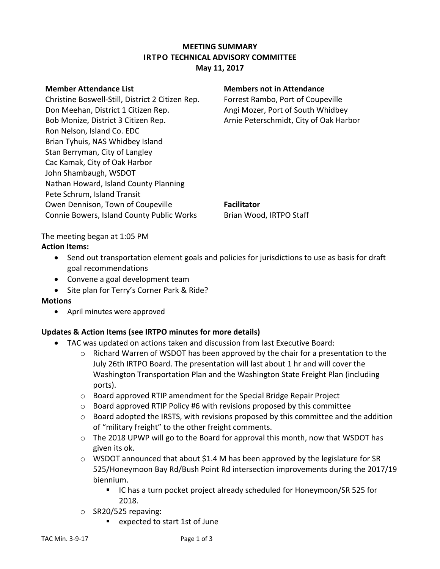# **MEETING SUMMARY IRTPO TECHNICAL ADVISORY COMMITTEE May 11, 2017**

Christine Boswell-Still, District 2 Citizen Rep. Forrest Rambo, Port of Coupeville Don Meehan, District 1 Citizen Rep. Angi Mozer, Port of South Whidbey Bob Monize, District 3 Citizen Rep. Arnie Peterschmidt, City of Oak Harbor Ron Nelson, Island Co. EDC Brian Tyhuis, NAS Whidbey Island Stan Berryman, City of Langley Cac Kamak, City of Oak Harbor John Shambaugh, WSDOT Nathan Howard, Island County Planning Pete Schrum, Island Transit Owen Dennison, Town of Coupeville **Facilitator** Connie Bowers, Island County Public Works Brian Wood, IRTPO Staff

### **Member Attendance List Members not in Attendance**

The meeting began at 1:05 PM **Action Items:**

- Send out transportation element goals and policies for jurisdictions to use as basis for draft goal recommendations
- Convene a goal development team
- Site plan for Terry's Corner Park & Ride?

### **Motions**

April minutes were approved

# **Updates & Action Items (see IRTPO minutes for more details)**

- TAC was updated on actions taken and discussion from last Executive Board:
	- $\circ$  Richard Warren of WSDOT has been approved by the chair for a presentation to the July 26th IRTPO Board. The presentation will last about 1 hr and will cover the Washington Transportation Plan and the Washington State Freight Plan (including ports).
	- o Board approved RTIP amendment for the Special Bridge Repair Project
	- $\circ$  Board approved RTIP Policy #6 with revisions proposed by this committee
	- $\circ$  Board adopted the IRSTS, with revisions proposed by this committee and the addition of "military freight" to the other freight comments.
	- $\circ$  The 2018 UPWP will go to the Board for approval this month, now that WSDOT has given its ok.
	- $\circ$  WSDOT announced that about \$1.4 M has been approved by the legislature for SR 525/Honeymoon Bay Rd/Bush Point Rd intersection improvements during the 2017/19 biennium.
		- IC has a turn pocket project already scheduled for Honeymoon/SR 525 for 2018.
	- $\circ$  SR20/525 repaving:
		- expected to start 1st of June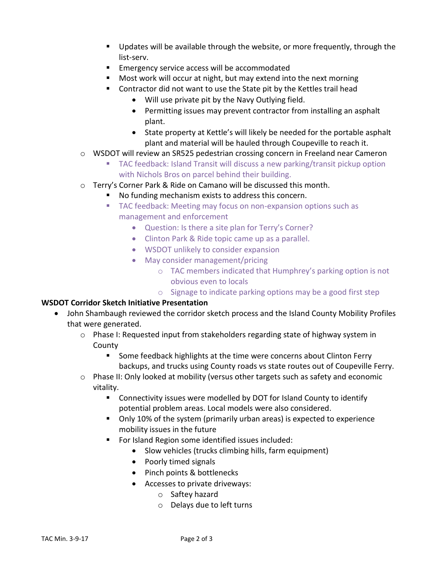- Updates will be available through the website, or more frequently, through the list-serv.
- **Emergency service access will be accommodated**
- **Most work will occur at night, but may extend into the next morning**
- Contractor did not want to use the State pit by the Kettles trail head
	- Will use private pit by the Navy Outlying field.
	- Permitting issues may prevent contractor from installing an asphalt plant.
	- State property at Kettle's will likely be needed for the portable asphalt plant and material will be hauled through Coupeville to reach it.
- o WSDOT will review an SR525 pedestrian crossing concern in Freeland near Cameron
	- TAC feedback: Island Transit will discuss a new parking/transit pickup option with Nichols Bros on parcel behind their building.
- o Terry's Corner Park & Ride on Camano will be discussed this month.
	- No funding mechanism exists to address this concern.
	- **TAC feedback: Meeting may focus on non-expansion options such as** management and enforcement
		- Question: Is there a site plan for Terry's Corner?
		- Clinton Park & Ride topic came up as a parallel.
		- WSDOT unlikely to consider expansion
		- May consider management/pricing
			- o TAC members indicated that Humphrey's parking option is not obvious even to locals
			- o Signage to indicate parking options may be a good first step

### **WSDOT Corridor Sketch Initiative Presentation**

- John Shambaugh reviewed the corridor sketch process and the Island County Mobility Profiles that were generated.
	- $\circ$  Phase I: Requested input from stakeholders regarding state of highway system in County
		- **Some feedback highlights at the time were concerns about Clinton Ferry** backups, and trucks using County roads vs state routes out of Coupeville Ferry.
	- $\circ$  Phase II: Only looked at mobility (versus other targets such as safety and economic vitality.
		- Connectivity issues were modelled by DOT for Island County to identify potential problem areas. Local models were also considered.
		- Only 10% of the system (primarily urban areas) is expected to experience mobility issues in the future
		- **For Island Region some identified issues included:** 
			- Slow vehicles (trucks climbing hills, farm equipment)
			- Poorly timed signals
			- Pinch points & bottlenecks
			- Accesses to private driveways:
				- o Saftey hazard
				- o Delays due to left turns